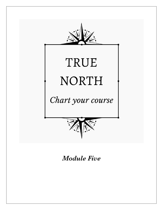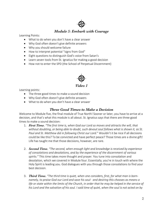# *Module 5: Embark with Courage*

Learning Points:

- What to do when you don't have a clear answer
- Why God often doesn't give definite answers
- Why you should welcome failure
- How to interpret potential "signs from God"
- Eight questions to distinguish God's voice from Satan's
- Learn seven tools from St. Ignatius for making a good decision
- How not to enter the SPD (the School of Perpetual Discernment)



Learning points:

- The three good times to make a sound decision
- Why God often doesn't give definite answers
- What to do when you don't have a clear answer

#### *Three Good Times to Make a Decision*

Welcome to Module five, the final module of True North! Sooner or later, you have to arrive at a decision, and that's what this module is all about. St. Ignatius says that there are three good times to make a sound decision:

- 1. *First Time. "The first time is, when God our Lord so moves and attracts the will, that without doubting, or being able to doubt, such devout soul follows what is shown it, as St. Paul and St. Matthew did in following Christ our Lord*." Wouldn't it be nice if all decisions could be like this? To be convicted and have perfect peace? Those times are a divine gift! Life has taught me that those decisions, however, are rare.
- 2. *Second Time. "The second, when enough light and knowledge is received by experience of consolations and desolations, and by the experience of the discernment of various spirits."* This time takes more thought and prayer. You tune into consolation and desolation, which we covered in Module four. Essentially, you're in touch with where the Holy Spirit is leading you. God dialogues with you through those consolations to find your best decision.
- 3. *Third Time***.** *"The third time is quiet, when one considers, first, for what man is bornnamely, to praise God our Lord and save his soul- and desiring this chooses as means a life or state within the limits of the Church, in order that he may be helped in the service of his Lord and the salvation of his soul. I said time of quiet, when the soul is not acted on by*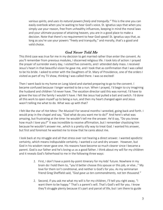*various spirits, and uses its natural powers freely and tranquilly."* This is the one you can easily overlook when you're waiting to hear God's voice. St. Ignatius says that when you simply use your reason, free from unhealthy influences, keeping in mind the moral laws and your ultimate purpose of attaining heaven, you are in a good place to make a decision. Note that there's no requirement to hear God speak! St. Ignatius says that, as long as you're use your powers "freely and tranquilly," and morally, that's a good and valid choice.

## *God Never Told Me*

This third case was true for me in my decision to get married rather than enter the convent. As you'll remember from previous modules, I discerned religious life. I took lots of action: I prayed the prayer of surrender every day, I visited five convents, and I attended daily mass. I received Jesus's heart in that beautiful vision he gave me, and I took that as confirmation that I was called to be his bride. I asked to enter with the Daughters of St. Mary of Providence, one of the orders I visited as part of my TV show, thinking I was called there. I was so excited!

Then I went back to my home on Long Island and started preparing to go to the convent. I became confused because I longer wanted to be a nun. When I prayed, I'd begin to cry imagining the husband and children I'd never have. The vocation director said this was normal; I'd have to grieve the loss of the family I wouldn't have. I felt like Jesus had pulled a bait and switch. I'd done all this work to open myself up to being a nun, and then my heart changed again and Jesus wasn't telling me what to do. What was up with that?

I felt like the star of *Hot Mess: The Musical!* For several months I wrestled, going back and forth. I would pray in the chapel and say, "God what do you want me to do?" And here's what was amazing, but frustrating at the time- he wouldn't tell me the answer. He'd say, "Do you know how much I love you?" It was incredible to receive affirmation, but I remember chastising him because he wouldn't answer me…which is a pretty silly way to treat God. I wanted his answer, but first and foremost he wanted me to know that he cares about me.

I look back at my struggle and all that stress over not hearing a direct answer. I wanted apodictic certainty, which means indisputable certainty. I wanted a cut-and-dry answer. However, but God in his wisdom never gave one. His reasons have become so much clearer since I became a parent. God is our father and he's loving us as a good father. I think about my will for my children and it reveals God's fatherhood to me in the following three ways:

- *1.* First, I don't have a point-by-point itinerary for my kids' future. Nowhere in my brain do I hold them to, "you'd better choose this spouse or this job, or else…" My love for them isn't conditional, and neither is God's for you. As my seminarian friend Greg Sheffield said, *"God gave us ten commandments, not ten thousand."*
- 2. Second, if you ask me what my will is for my children, I'll tell you right away, "I want them to be happy." That's a parent's will. That's God's will for you. I know they'll struggle plenty because it's part and parcel of life, but I am there to guide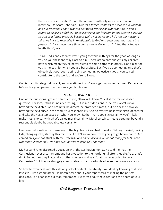them as their advocate. I'm not the ultimate authority or a master. In an interview, Dr. Scott Hahn said, *"God as a father wants us to exercise our wisdom and our freedom. I don't want to dictate to my six kids what they do. When it comes to pleasing a father, I think exercising our freedom brings greater pleasure to God as a father precisely because we're not slaves and he's not our master. I think we have to recognize in relationship to God and each other that there is a freedom in love much more than our culture will ever catch."* And that's today's North Star Quote.

3. Third, God's endless creativity is going to work all things for the good as long as you do your best and stay close to him. There are talents and gifts my children have which mean they're better suited to some paths than others. God's plan for you is the path for which you are best suited. But if you do something else that's objectively good, you're still doing something objectively good! You can still contribute to the world and you're still loved.

God is the ultimate good parent, and sometimes if you're not getting a clear answer it's because he's such a good parent that he wants you to choose.

## *So How Will I Know?*

One of the questions I get most frequently is, "How will I know?" I call it the million-dollar question. I'm sorry if this sounds depressing, but in most decisions in life, you won't know beyond the next step. God prompts, he directs, he promises himself, but he doesn't show you beyond the next curve in the road. Your responsibility is to do everything in your circle of control and take the next step based on what you know. Rather than apodictic certainty, you'll likely make most choices with what's called moral certainty. Moral certainty means certainty beyond a reasonable doubt, but not absolute certainty.

I've never felt qualified to make any of the big life choices I had to make. Getting married, having kids, changing jobs, starting this ministry…I didn't know how it was going to go beforehand! One comedian's joke has stuck with me: *"my wife and I have decided we're not ready for kids. Nope. Not ready. Incidentally, we have two- but we're definitely not ready."* 

My husband John discerned a vocation with the Carthusian monks. He told me that the Carthusians never assume someone has a vocation to their order until after they die. Yup, that's right. Sometimes they'll attend a brother's funeral and say, "that man was called to be a Carthusian." But they're strangely comfortable in the uncertainty of even their own vocations.

So how to even deal with this lifelong lack of perfect uncertainty? You deal by knowing that God loves you like a good father. He doesn't care about your report card of making the perfect decisions. The pharisees did that, remember? He cares about the extent and the depth of your love.

#### *God Respects Your Action*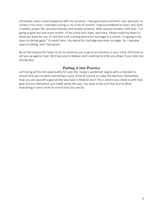Ultimately, here's what happened with my vocation. I had gone back and forth, over and over, in circles in my mind. I had been acting in my circle of control: I had surrendered to God's will, built a healthy prayer life, actively listened, and visited convents. After several months I told God, "I'm going to give you one more month. I'll do a holy hour daily, and mass. Please mold my heart to what you want for me. If I still feel such a strong desire for marriage in a month, I'm going to be open to dating again." A month later, the desire for marriage was even stronger. So, I became open to dating, and I had peace.

Be on the lookout for Satan to try to convince you to go to an extreme in your mind. He'd love to set you up against God. He'd love you to believe God's waiting to strike you down if you take one wrong step.

#### *Putting it into Practice*

Let's bring all this into practicality for your life. Today's worksheet begins with a checklist to ensure that you've done everything in your circle of control to make the decision. Remember how you set yourself a goal all the way back in Module one? This is where you check in with that goal and any alterations you made along the way. You want to be sure that you've done everything in your circle of control that you can do.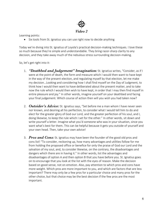

Learning points:

• Six tools from St. Ignatius you can use right now to decide anything

Today we're diving into St. Ignatius of Loyola's practical decision-making techniques. I love these so much because they're simple and understandable. They bring razor-sharp clarity to any decision, and they take away much of the nebulous stress surrounding decision-making.

So, let's get right into it:

- 1. *"Deathbed and Judgement" Imagination:* St. Ignatius writes, "Consider, as if I were at the point of death, the form and measure which I would then want to have kept in the way of the present election, and regulating myself by that election, let me make my decision…Looking and considering how I shall find myself on the Day of Judgment, to think how I would then want to have deliberated about the present matter, and to take now the rule which I would then wish to have kept, in order that I may then find myself in entire pleasure and joy." In other words, imagine yourself on your deathbed and facing your final judgement. Which course of action then will you wish you had taken now?
- 2. *Outsider's Advice:* St. Ignatius says, "Set before me a man whom I have never seen nor known, and desiring all his perfection, to consider what I would tell him to do and elect for the greater glory of God our Lord, and the greater perfection of his soul, and I, doing likewise, to keep the rule which I set for the other." In other words, sit down and write yourself a letter. Imagine what you'd someone who was in your situation, since you want what's best for them. This can be helpful because it gets you outside of yourself and your own head. Then, take your own advice!
- 3. *Pros and Cons:* St. Ignatius may have been the founder of the good old pros and cons list! "To consider, reckoning up, how many advantages and utilities follow for me from holding the proposed office or benefice for only the praise of God our Lord and the salvation of my soul, and, to consider likewise, on the contrary, the disadvantages and dangers which there are in having it." In other words, list the advantages and disadvantages of option A and then option B that you have before you. St. Ignatius goes on to encourage that you look at the list with the eyes of reason. Make the decision based on good sense, not on emotion. Also, pay attention to which pros and cons have more weight. Which pros are more important to you, and which are factors that are less important? There may only be a few pros for a particular choice and many pros for the other choice, but that choice may be the best decision if the few pros are the most important.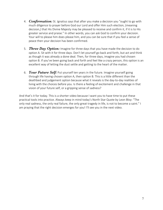- 4. *Confirmation:* St. Ignatius says that after you make a decision you "ought to go with much diligence to prayer before God our Lord and offer Him such election, (meaning decision,) that His Divine Majesty may be pleased to receive and confirm it, if it is to His greater service and praise." In other words, you can ask God to confirm your decision. Your will to please him does please him, and you can be sure that if you feel a sense of peace then your decision has been confirmed.
- 5. *Three Day Option:* Imagine for three days that you have made the decision to do option A. Sit with it for three days. Don't let yourself go back and forth, but act and think as though it was already a done deal. Then, for three days, imagine you had chosen option B. If you've been going back and forth and feel like a crazy person, this option is an excellent way of letting the dust settle and getting to the heart of the matter.
- 6. *Your Future Self:* Put yourself ten years in the future. Imagine yourself going through life having chosen option A, then option B. This is a little different than the deathbed and judgement option because what it reveals is the day-to-day realities of living with the choices before you. Is there a feeling of excitement and challenge in that vision of your future self, or a gripping sense of sadness?

And that's it for today. This is a shorter video because I want you to have time to put these practical tools into practice. Always keep in mind today's North Star Quote by Leon Bloy: "The only real sadness, the only real failure, the only great tragedy in life, is not to become a saint." I am praying that the right decision emerges for you! I'll see you in the next video.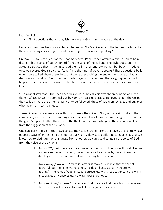

Learning Points:

• Eight questions that distinguish the voice of God from the voice of the devil

Hello, and welcome back! As you tune into hearing God's voice, one of the hardest parts can be those conflicting voices in your head. How do you know who is speaking?

On May 10, 2020, the Feast of the Good Shepherd, Pope Francis offered a mini lesson to help distinguish the voice of our Shepherd from the voice of the evil one. The eight questions he asked are so good that I'm going to read them all in their entirety. Remember back in Module two, we covered God's so-called "tone," and the kinds of ways he speaks? These questions build on what we talked about there. Now that we're approaching the end of the course and your decision is at hand, you've had more time to digest all the lessons. These eight questions will help you hear the voice of Jesus our Shepherd more clearly. Here's the text of Pope Francis's lesson:

"The Gospel says that: "The sheep hear his voice, as he calls his own sheep by name and leads them out" (Jn 10: 3). The Lord calls us by name, He calls us because He loves us. But the Gospel then tells us, there are other voices, not to be followed: those of strangers, thieves and brigands who mean harm to the sheep.

These different voices resonate within us. There is the voice of God, who speaks kindly to the conscience, and there is the tempting voice that leads to evil. How can we recognize the voice of the good Shepherd rather than that of the thief, how can we distinguish the inspiration of God from the suggestion of the evil one?

One can learn to discern these two voices: they speak two different languages, that is, they have opposite ways of knocking on the door of our hearts. They speak different languages. Just as we know how to distinguish one language from another, we can also distinguish the voice of God from the voice of the evil one.

- 1. *Am I still free?* The voice of God never forces us: God proposes Himself, He does not impose Himself. Instead, the evil voice seduces, assails, forces: it arouses dazzling illusions, emotions that are tempting but transient.
- 2. *Am I being flattered?* At first it flatters, it makes us believe that we are allpowerful, but then it leaves us empty inside and accuses us: "You are worth nothing". The voice of God, instead, corrects us, with great patience, but always encourages us, consoles us: it always nourishes hope.
- 3. *Am I looking forward?* The voice of God is a voice that has a horizon, whereas the voice of evil leads you to a wall, it backs you into a corner.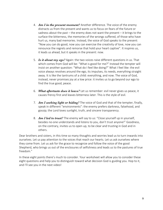- 4. *Am I in the present moment?* Another difference. The voice of the enemy distracts us from the present and wants us to focus on fears of the future or sadness about the past – the enemy does not want the present – it brings to the surface the bitterness, the memories of the wrongs suffered, of those who have hurt us, many bad memories. Instead, the voice of God speaks to the present: "Now you can do good, now you can exercise the creativity of love, now you can renounce the regrets and remorse that hold your heart captive". It inspires us, it leads us ahead, but it speaks in the present: now.
- 5. *Is it about my ego?* Again: the two voices raise different questions in us. That which comes from God will be: "What is good for me?" Instead the tempter will insist on another question: "What do I feel like doing?" What I feel like: the evil voice always revolves around the ego, its impulses, its needs, everything straight away. It is like the tantrums of a child: everything, and now. The voice of God, instead, never promises joy at a low price: it invites us to go beyond our ego to find the true good, peace.
- 6. *What aftertaste does it leave?* Let us remember: evil never gives us peace, it causes frenzy first and leaves bitterness later. This is the style of evil.
- 7. *Am I seeking light or hiding?* The voice of God and that of the tempter, finally, speak in different "environments": the enemy prefers darkness, falsehood, and gossip; the Lord loves sunlight, truth, and sincere transparency.
- 8. *Am I led to trust?* The enemy will say to us: "Close yourself up in yourself, besides no-one understands and listens to you, don't trust anyone!" Goodness, on the contrary, invites us to open up, to be clear and trusting in God and in others.

Dear brothers and sisters, in this time so many thoughts and worries lead us to turn inwards into ourselves. Let us pay attention to the voices that reach our hearts. Let us ask ourselves where they come from. Let us ask for the grace to recognize and follow the voice of the good Shepherd, who brings us out of the enclosures of selfishness and leads us to the pastures of true freedom."

In these eight points there's much to consider. Your worksheet will allow you to consider these eight questions and help you to distinguish toward what decision God is guiding you. Hop to it, and I'll see you in the next video!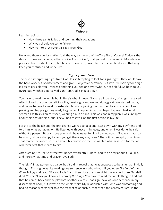

Learning points:

- How three saints failed at discerning their vocations
- Why you should welcome failure
- How to interpret potential signs from God

Hello and thank you for making it all the way to the end of the True North Course! Today is the day you make your choice, either choice A or choice B, that you set for yourself in Module one. I pray you have perfect peace, but before I leave you, I want to discuss two final areas that may keep you confused and indecisive.

#### *Signs from God*

The first is interpreting signs from God. It's so tempting to look for signs, right? They would take the hard work out of discernment and give us objective certainty! But if you're looking for a sign, it's quite possible you'll misread and think you see one everywhere. Not helpful. So how do you figure out whether a perceived sign from God is in fact a sign?

You have to read the whole book. Here's what I mean: I'll share a little story of a sign I received. After I closed the door on religious life, I met a guy and we got along great. We started dating and he invited me to meet his extended family by joining them at their beach vacation. I was packing and happily getting ready to go when I popped in to the chapel to pray. I had what seemed like this vision of myself, wearing a nun's habit. This was not in my plan. I was unhappy about this possible sign, but I knew I had to give God the first option in my life.

I drove to the beach and the first chance we had to be alone, I sat down with my boyfriend and told him what was going on. He listened with peace in his eyes, and when I was done, he said without a pause, "Stacey, I love you, and I have never felt like I owned you. If God wants you to be a nun, I'd be so happy to help you get there any way I can." That's it. No self-pity or whining. That moment clarified so much about his motives to me. He wanted what was best for me, at whatever cost that meant to him.

After sighing "You're so attractive" under my breath, I knew I had to go pray about it. So I did, and here's what time and prayer revealed:

The "sign" I had gotten had value, but it didn't reveal that I was supposed to be a nun as I initially thought. That sign was like reading one sentence in a whole book. If you open *The Lord of the Rings* Trilogy and read, "Fly you fools!" and then close the book right there, you'll think Gandalf died. You can't say you know *The Lord of the Rings*. You have to read the whole thing to find out that he comes back and the plethora of other events. That sign I saw was one sentence in my discernment book, but it wasn't the whole story. My relationship with John was blossoming and I had no reason whatsoever to close off that relationship, other than the perceived sign. In the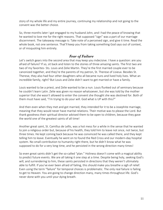story of my whole life and my entire journey, continuing my relationship and not going to the convent was the better choice.

So, three months later I got engaged to my husband John, and I had the peace of knowing that he wanted to love me for the right reasons. That supposed "sign" was a part of our marriage discernment. The takeaway message is: Take note of a perceived sign, and give it time. Read the whole book, not one sentence. That'll keep you from taking something God says out of context, or of misquoting him entirely.

### *Fear of Failure*

Let's switch gears into the second area that may keep you indecisive. I have a question: are you afraid of failure? If so, sit back and listen to the stories of three amazing saints. The first two are two of my favorites- Sts. Louis and Zelie Martin. They're the first married couple ever to be canonized together, and they're the parents of my patron, St. Therese of Lisieux. Besides St. Therese, they also had four other daughters who all became nuns and lived holy lives. What an incredible family, right? But Louis and Zelie didn't want to get married or have a family.

Louis wanted to be a priest, and Zelie wanted to be a nun. Louis flunked out of seminary because he couldn't learn Latin. Zelie was given no reason whatsoever, but she was told by the mother superior that she wasn't allowed to enter the convent she thought she was destined for. Both of them must have said, "I'm trying to do your will. God what is UP with this?"

And then even when they met and got married, they intended for it to be a Josephite marriage, meaning that they would never have marital relations. Their motive was to please the Lord. But thank goodness their spiritual director advised them to be open to children, because they gave the world one of the greatest saints of all time!

Another great saint, St. Camillus de Lellis, was a hot mess for a while in the sense that he wanted to join a religious order but, because of his health, they told him to leave not once, not twice, but three times. He kept coming back because he was convinced he was called there, and they kept telling him to leave. Eventually he went on to found the Red Cross and our modern-day hospital system. No small contribution to humanity right there, but he didn't know what he was supposed to do for a very long time, and he persisted in the wrong direction many times!

So even great saints didn't get the so-called "plan." Holiness doesn't come with a magical ability to predict future events. We are all taking it one step at a time. Despite being holy, seeking God's will, and surrendering to him, these saints persisted in directions that they weren't ultimately able to fulfill. If you've ever been afraid of failing, this should make you breathe a sigh of relief. Even using the term "failure" for temporal choices is problematic. The only real failure is failing to get to Heaven. You are going to change direction many, many times throughout life. God's never done with you until your dying breath.